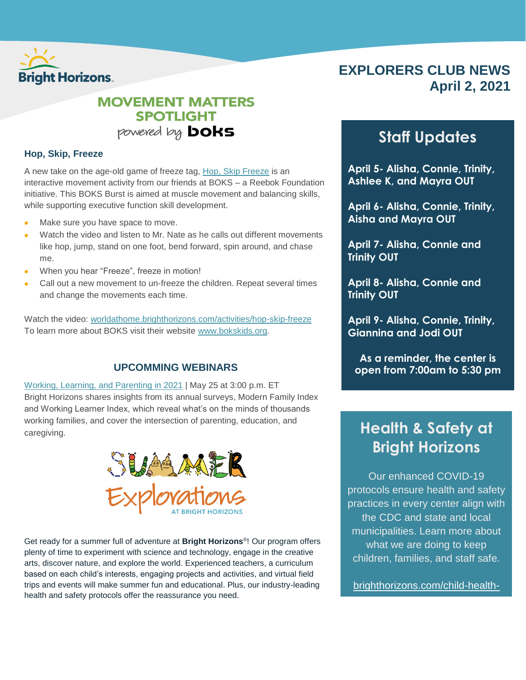

## **EXPLORERS CLUB NEWS April 2, 2021**

### **MOVEMENT MATTERS SPOTLIGHT** powered by **DOKS**

### **Hop, Skip, Freeze**

A new take on the age-old game of freeze tag, [Hop, Skip Freeze](https://worldathome.brighthorizons.com/activities/hop-skip-freeze) is an interactive movement activity from our friends at BOKS – a Reebok Foundation initiative. This BOKS Burst is aimed at muscle movement and balancing skills, while supporting executive function skill development.

- Make sure you have space to move.
- Watch the video and listen to Mr. Nate as he calls out different movements like hop, jump, stand on one foot, bend forward, spin around, and chase me.
- When you hear "Freeze", freeze in motion!
- Call out a new movement to un-freeze the children. Repeat several times and change the movements each time.

Watch the video: [worldathome.brighthorizons.com/activities/hop-skip-freeze](https://worldathome.brighthorizons.com/activities/hop-skip-freeze) To learn more about BOKS visit their website [www.bokskids.org.](http://www.bokskids.org/)

### **UPCOMMING WEBINARS**

[Working, Learning, and Parenting in 2021](https://event.on24.com/eventRegistration/EventLobbyServlet?target=reg30.jsp&partnerref=flyer&eventid=2866279&sessionid=1&key=7A326ABC151469B635742B4C8B88653B®Tag=&V2=false&sourcepage=register) | May 25 at 3:00 p.m. ET Bright Horizons shares insights from its annual surveys, Modern Family Index and Working Learner Index, which reveal what's on the minds of thousands working families, and cover the intersection of parenting, education, and caregiving.



Get ready for a summer full of adventure at **Bright Horizons**® ! Our program offers plenty of time to experiment with science and technology, engage in the creative arts, discover nature, and explore the world. Experienced teachers, a curriculum based on each child's interests, engaging projects and activities, and virtual field trips and events will make summer fun and educational. Plus, our industry-leading health and safety protocols offer the reassurance you need.

## **Staff Updates**

**April 5- Alisha, Connie, Trinity, Ashlee K, and Mayra OUT**

**April 6- Alisha, Connie, Trinity, Aisha and Mayra OUT**

**April 7- Alisha, Connie and Trinity OUT**

**April 8- Alisha, Connie and Trinity OUT**

**April 9- Alisha, Connie, Trinity, Giannina and Jodi OUT**

**As a reminder, the center is open from 7:00am to 5:30 pm**

# **Health & Safety at Bright Horizons**

Our enhanced COVID-19 protocols ensure health and safety practices in every center align with the CDC and state and local municipalities. Learn more about what we are doing to keep children, families, and staff safe.

[brighthorizons.com/child-health](http://www.brighthorizons.com/child-health-safety)[safety](http://www.brighthorizons.com/child-health-safety)